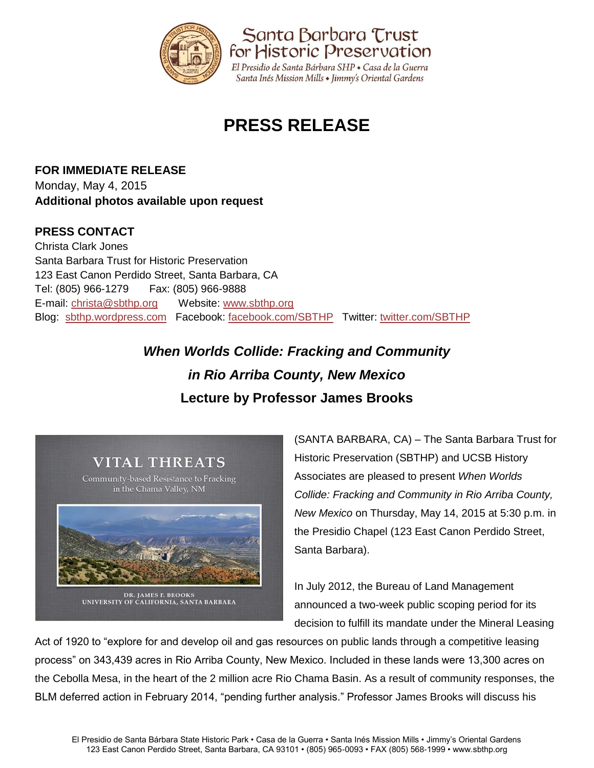

# **PRESS RELEASE**

**FOR IMMEDIATE RELEASE** Monday, May 4, 2015 **Additional photos available upon request**

### **PRESS CONTACT**

Christa Clark Jones Santa Barbara Trust for Historic Preservation 123 East Canon Perdido Street, Santa Barbara, CA Tel: (805) 966-1279 Fax: (805) 966-9888 E-mail: [christa@sbthp.org](mailto:christa@sbthp.org) Website: [www.sbthp.org](http://www.sbthp.org/) Blog: [sbthp.wordpress.com](http://sbthp.wordpress.com/) Facebook: [facebook.com/SBTHP](http://www.facebook.com/SBTHP) Twitter: [twitter.com/SBTHP](http://twitter.com/SBTHP)

## *When Worlds Collide: Fracking and Community in Rio Arriba County, New Mexico* **Lecture by Professor James Brooks**



(SANTA BARBARA, CA) – The Santa Barbara Trust for Historic Preservation (SBTHP) and UCSB History Associates are pleased to present *When Worlds Collide: Fracking and Community in Rio Arriba County, New Mexico* on Thursday, May 14, 2015 at 5:30 p.m. in the Presidio Chapel (123 East Canon Perdido Street, Santa Barbara).

In July 2012, the Bureau of Land Management announced a two-week public scoping period for its decision to fulfill its mandate under the Mineral Leasing

Act of 1920 to "explore for and develop oil and gas resources on public lands through a competitive leasing process" on 343,439 acres in Rio Arriba County, New Mexico. Included in these lands were 13,300 acres on the Cebolla Mesa, in the heart of the 2 million acre Rio Chama Basin. As a result of community responses, the BLM deferred action in February 2014, "pending further analysis." Professor James Brooks will discuss his